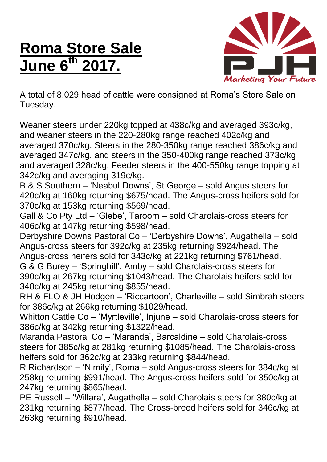## **Roma Store Sale June 6 th 2017.**



A total of 8,029 head of cattle were consigned at Roma's Store Sale on Tuesday.

Weaner steers under 220kg topped at 438c/kg and averaged 393c/kg, and weaner steers in the 220-280kg range reached 402c/kg and averaged 370c/kg. Steers in the 280-350kg range reached 386c/kg and averaged 347c/kg, and steers in the 350-400kg range reached 373c/kg and averaged 328c/kg. Feeder steers in the 400-550kg range topping at 342c/kg and averaging 319c/kg.

B & S Southern – 'Neabul Downs', St George – sold Angus steers for 420c/kg at 160kg returning \$675/head. The Angus-cross heifers sold for 370c/kg at 153kg returning \$569/head.

Gall & Co Pty Ltd – 'Glebe', Taroom – sold Charolais-cross steers for 406c/kg at 147kg returning \$598/head.

Derbyshire Downs Pastoral Co – 'Derbyshire Downs', Augathella – sold Angus-cross steers for 392c/kg at 235kg returning \$924/head. The Angus-cross heifers sold for 343c/kg at 221kg returning \$761/head.

G & G Burey – 'Springhill', Amby – sold Charolais-cross steers for 390c/kg at 267kg returning \$1043/head. The Charolais heifers sold for 348c/kg at 245kg returning \$855/head.

RH & FLO & JH Hodgen – 'Riccartoon', Charleville – sold Simbrah steers for 386c/kg at 266kg returning \$1029/head.

Whitton Cattle Co – 'Myrtleville', Injune – sold Charolais-cross steers for 386c/kg at 342kg returning \$1322/head.

Maranda Pastoral Co – 'Maranda', Barcaldine – sold Charolais-cross steers for 385c/kg at 281kg returning \$1085/head. The Charolais-cross heifers sold for 362c/kg at 233kg returning \$844/head.

R Richardson – 'Nimity', Roma – sold Angus-cross steers for 384c/kg at 258kg returning \$991/head. The Angus-cross heifers sold for 350c/kg at 247kg returning \$865/head.

PE Russell – 'Willara', Augathella – sold Charolais steers for 380c/kg at 231kg returning \$877/head. The Cross-breed heifers sold for 346c/kg at 263kg returning \$910/head.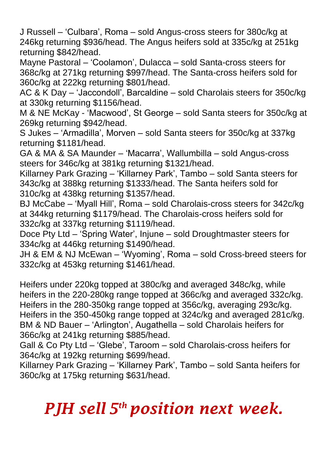J Russell – 'Culbara', Roma – sold Angus-cross steers for 380c/kg at 246kg returning \$936/head. The Angus heifers sold at 335c/kg at 251kg returning \$842/head.

Mayne Pastoral – 'Coolamon', Dulacca – sold Santa-cross steers for 368c/kg at 271kg returning \$997/head. The Santa-cross heifers sold for 360c/kg at 222kg returning \$801/head.

AC & K Day – 'Jaccondoll', Barcaldine – sold Charolais steers for 350c/kg at 330kg returning \$1156/head.

M & NE McKay - 'Macwood', St George – sold Santa steers for 350c/kg at 269kg returning \$942/head.

S Jukes – 'Armadilla', Morven – sold Santa steers for 350c/kg at 337kg returning \$1181/head.

GA & MA & SA Maunder – 'Macarra', Wallumbilla – sold Angus-cross steers for 346c/kg at 381kg returning \$1321/head.

Killarney Park Grazing – 'Killarney Park', Tambo – sold Santa steers for 343c/kg at 388kg returning \$1333/head. The Santa heifers sold for 310c/kg at 438kg returning \$1357/head.

BJ McCabe – 'Myall Hill', Roma – sold Charolais-cross steers for 342c/kg at 344kg returning \$1179/head. The Charolais-cross heifers sold for 332c/kg at 337kg returning \$1119/head.

Doce Pty Ltd – 'Spring Water', Injune – sold Droughtmaster steers for 334c/kg at 446kg returning \$1490/head.

JH & EM & NJ McEwan – 'Wyoming', Roma – sold Cross-breed steers for 332c/kg at 453kg returning \$1461/head.

Heifers under 220kg topped at 380c/kg and averaged 348c/kg, while heifers in the 220-280kg range topped at 366c/kg and averaged 332c/kg. Heifers in the 280-350kg range topped at 356c/kg, averaging 293c/kg. Heifers in the 350-450kg range topped at 324c/kg and averaged 281c/kg. BM & ND Bauer – 'Arlington', Augathella – sold Charolais heifers for 366c/kg at 241kg returning \$885/head.

Gall & Co Pty Ltd – 'Glebe', Taroom – sold Charolais-cross heifers for 364c/kg at 192kg returning \$699/head.

Killarney Park Grazing – 'Killarney Park', Tambo – sold Santa heifers for 360c/kg at 175kg returning \$631/head.

## *PJH sell 5 th position next week.*